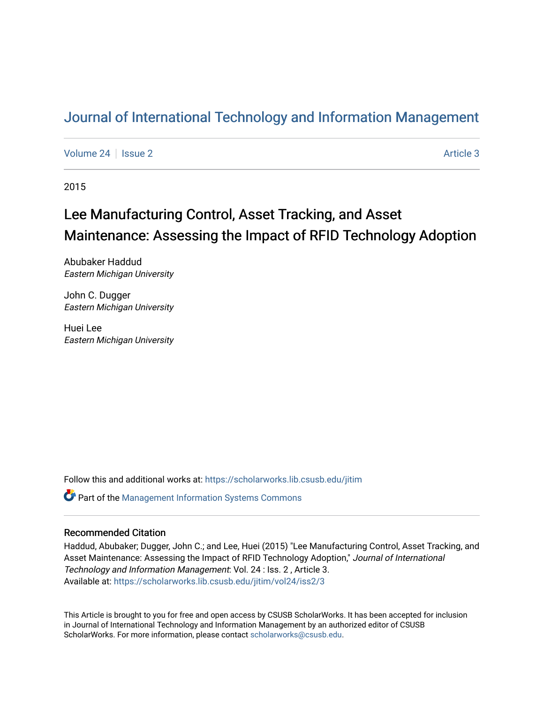## [Journal of International Technology and Information Management](https://scholarworks.lib.csusb.edu/jitim)

[Volume 24](https://scholarworks.lib.csusb.edu/jitim/vol24) | [Issue 2](https://scholarworks.lib.csusb.edu/jitim/vol24/iss2) Article 3

2015

# Lee Manufacturing Control, Asset Tracking, and Asset Maintenance: Assessing the Impact of RFID Technology Adoption

Abubaker Haddud Eastern Michigan University

John C. Dugger Eastern Michigan University

Huei Lee Eastern Michigan University

Follow this and additional works at: [https://scholarworks.lib.csusb.edu/jitim](https://scholarworks.lib.csusb.edu/jitim?utm_source=scholarworks.lib.csusb.edu%2Fjitim%2Fvol24%2Fiss2%2F3&utm_medium=PDF&utm_campaign=PDFCoverPages) 

**C** Part of the Management Information Systems Commons

#### Recommended Citation

Haddud, Abubaker; Dugger, John C.; and Lee, Huei (2015) "Lee Manufacturing Control, Asset Tracking, and Asset Maintenance: Assessing the Impact of RFID Technology Adoption," Journal of International Technology and Information Management: Vol. 24 : Iss. 2 , Article 3. Available at: [https://scholarworks.lib.csusb.edu/jitim/vol24/iss2/3](https://scholarworks.lib.csusb.edu/jitim/vol24/iss2/3?utm_source=scholarworks.lib.csusb.edu%2Fjitim%2Fvol24%2Fiss2%2F3&utm_medium=PDF&utm_campaign=PDFCoverPages) 

This Article is brought to you for free and open access by CSUSB ScholarWorks. It has been accepted for inclusion in Journal of International Technology and Information Management by an authorized editor of CSUSB ScholarWorks. For more information, please contact [scholarworks@csusb.edu.](mailto:scholarworks@csusb.edu)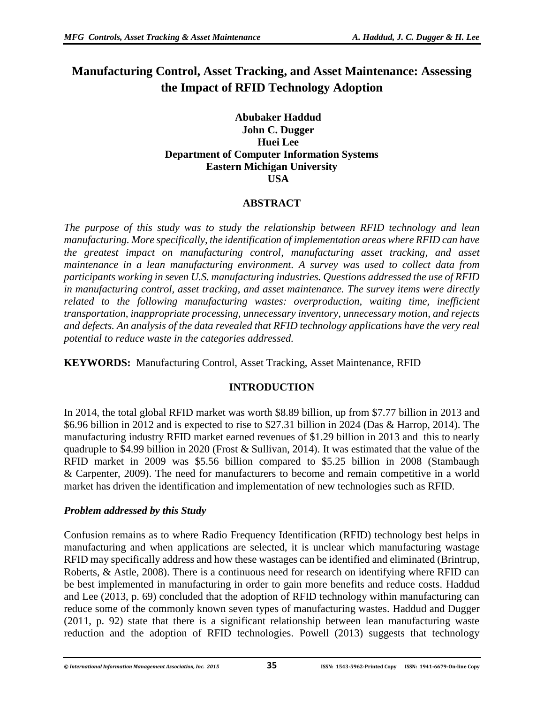## **Manufacturing Control, Asset Tracking, and Asset Maintenance: Assessing the Impact of RFID Technology Adoption**

#### **Abubaker Haddud John C. Dugger Huei Lee Department of Computer Information Systems Eastern Michigan University USA**

## **ABSTRACT**

*The purpose of this study was to study the relationship between RFID technology and lean manufacturing. More specifically, the identification of implementation areas where RFID can have the greatest impact on manufacturing control, manufacturing asset tracking, and asset maintenance in a lean manufacturing environment. A survey was used to collect data from participants working in seven U.S. manufacturing industries. Questions addressed the use of RFID in manufacturing control, asset tracking, and asset maintenance. The survey items were directly related to the following manufacturing wastes: overproduction, waiting time, inefficient transportation, inappropriate processing, unnecessary inventory, unnecessary motion, and rejects and defects. An analysis of the data revealed that RFID technology applications have the very real potential to reduce waste in the categories addressed.* 

**KEYWORDS:** Manufacturing Control, Asset Tracking, Asset Maintenance, RFID

## **INTRODUCTION**

In 2014, the total global RFID market was worth \$8.89 billion, up from \$7.77 billion in 2013 and \$6.96 billion in 2012 and is expected to rise to \$27.31 billion in 2024 (Das & Harrop, 2014). The manufacturing industry RFID market earned revenues of \$1.29 billion in 2013 and this to nearly quadruple to \$4.99 billion in 2020 (Frost & Sullivan, 2014). It was estimated that the value of the RFID market in 2009 was \$5.56 billion compared to \$5.25 billion in 2008 (Stambaugh & Carpenter, 2009). The need for manufacturers to become and remain competitive in a world market has driven the identification and implementation of new technologies such as RFID.

#### *Problem addressed by this Study*

Confusion remains as to where Radio Frequency Identification (RFID) technology best helps in manufacturing and when applications are selected, it is unclear which manufacturing wastage RFID may specifically address and how these wastages can be identified and eliminated (Brintrup, Roberts, & Astle, 2008). There is a continuous need for research on identifying where RFID can be best implemented in manufacturing in order to gain more benefits and reduce costs. Haddud and Lee (2013, p. 69) concluded that the adoption of RFID technology within manufacturing can reduce some of the commonly known seven types of manufacturing wastes. Haddud and Dugger (2011, p. 92) state that there is a significant relationship between lean manufacturing waste reduction and the adoption of RFID technologies. Powell (2013) suggests that technology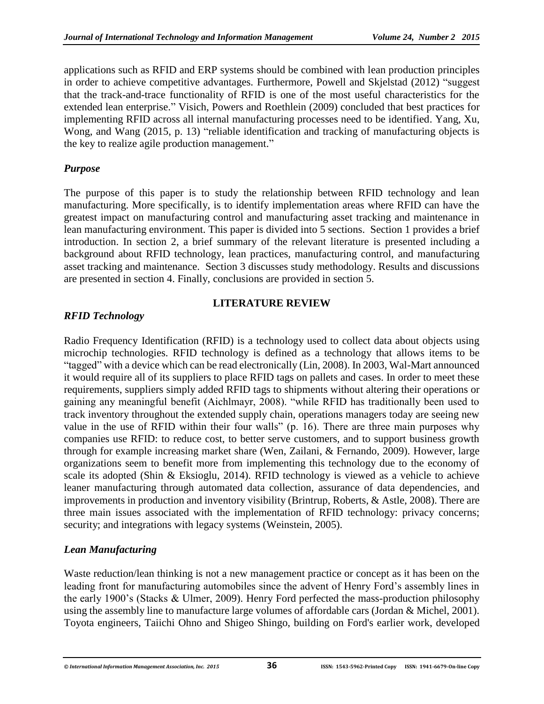applications such as RFID and ERP systems should be combined with lean production principles in order to achieve competitive advantages. Furthermore, Powell and Skjelstad (2012) "suggest that the track-and-trace functionality of RFID is one of the most useful characteristics for the extended lean enterprise." Visich, Powers and Roethlein (2009) concluded that best practices for implementing RFID across all internal manufacturing processes need to be identified. Yang, Xu, Wong, and Wang (2015, p. 13) "reliable identification and tracking of manufacturing objects is the key to realize agile production management."

#### *Purpose*

The purpose of this paper is to study the relationship between RFID technology and lean manufacturing. More specifically, is to identify implementation areas where RFID can have the greatest impact on manufacturing control and manufacturing asset tracking and maintenance in lean manufacturing environment. This paper is divided into 5 sections. Section 1 provides a brief introduction. In section 2, a brief summary of the relevant literature is presented including a background about RFID technology, lean practices, manufacturing control, and manufacturing asset tracking and maintenance. Section 3 discusses study methodology. Results and discussions are presented in section 4. Finally, conclusions are provided in section 5.

## **LITERATURE REVIEW**

## *RFID Technology*

Radio Frequency Identification (RFID) is a technology used to collect data about objects using microchip technologies. RFID technology is defined as a technology that allows items to be "tagged" with a device which can be read electronically (Lin, 2008). In 2003, Wal-Mart announced it would require all of its suppliers to place RFID tags on pallets and cases. In order to meet these requirements, suppliers simply added RFID tags to shipments without altering their operations or gaining any meaningful benefit (Aichlmayr, 2008). "while RFID has traditionally been used to track inventory throughout the extended supply chain, operations managers today are seeing new value in the use of RFID within their four walls" (p. 16). There are three main purposes why companies use RFID: to reduce cost, to better serve customers, and to support business growth through for example increasing market share (Wen, Zailani, & Fernando, 2009). However, large organizations seem to benefit more from implementing this technology due to the economy of scale its adopted (Shin & Eksioglu, 2014). RFID technology is viewed as a vehicle to achieve leaner manufacturing through automated data collection, assurance of data dependencies, and improvements in production and inventory visibility (Brintrup, Roberts, & Astle, 2008). There are three main issues associated with the implementation of RFID technology: privacy concerns; security; and integrations with legacy systems (Weinstein, 2005).

## *Lean Manufacturing*

Waste reduction/lean thinking is not a new management practice or concept as it has been on the leading front for manufacturing automobiles since the advent of Henry Ford's assembly lines in the early 1900's (Stacks & Ulmer, 2009). Henry Ford perfected the mass-production philosophy using the assembly line to manufacture large volumes of affordable cars (Jordan & Michel, 2001). Toyota engineers, Taiichi Ohno and Shigeo Shingo, building on Ford's earlier work, developed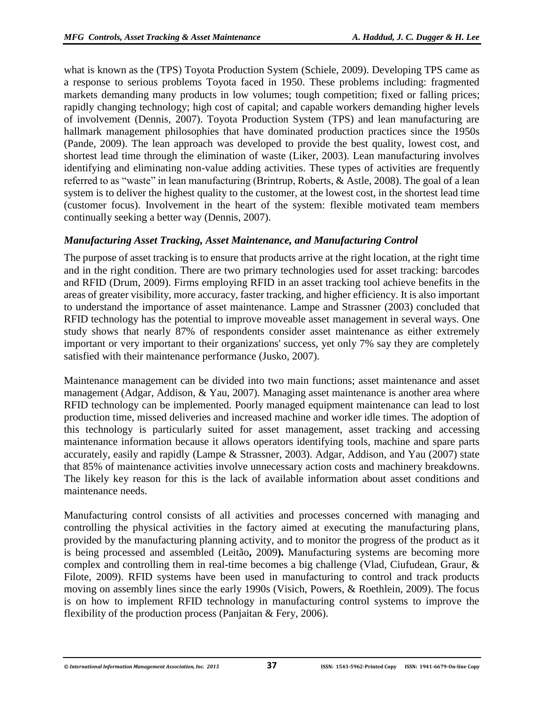what is known as the (TPS) Toyota Production System (Schiele, 2009). Developing TPS came as a response to serious problems Toyota faced in 1950. These problems including: fragmented markets demanding many products in low volumes; tough competition; fixed or falling prices; rapidly changing technology; high cost of capital; and capable workers demanding higher levels of involvement (Dennis, 2007). Toyota Production System (TPS) and lean manufacturing are hallmark management philosophies that have dominated production practices since the 1950s (Pande, 2009). The lean approach was developed to provide the best quality, lowest cost, and shortest lead time through the elimination of waste (Liker, 2003). Lean manufacturing involves identifying and eliminating non-value adding activities. These types of activities are frequently referred to as "waste" in lean manufacturing (Brintrup, Roberts, & Astle, 2008). The goal of a lean system is to deliver the highest quality to the customer, at the lowest cost, in the shortest lead time (customer focus). Involvement in the heart of the system: flexible motivated team members continually seeking a better way (Dennis, 2007).

## *Manufacturing Asset Tracking, Asset Maintenance, and Manufacturing Control*

The purpose of asset tracking is to ensure that products arrive at the right location, at the right time and in the right condition. There are two primary technologies used for asset tracking: barcodes and RFID (Drum, 2009). Firms employing RFID in an asset tracking tool achieve benefits in the areas of greater visibility, more accuracy, faster tracking, and higher efficiency. It is also important to understand the importance of asset maintenance. Lampe and Strassner (2003) concluded that RFID technology has the potential to improve moveable asset management in several ways. One study shows that nearly 87% of respondents consider asset maintenance as either extremely important or very important to their organizations' success, yet only 7% say they are completely satisfied with their maintenance performance (Jusko, 2007).

Maintenance management can be divided into two main functions; asset maintenance and asset management (Adgar, Addison, & Yau, 2007). Managing asset maintenance is another area where RFID technology can be implemented. Poorly managed equipment maintenance can lead to lost production time, missed deliveries and increased machine and worker idle times. The adoption of this technology is particularly suited for asset management, asset tracking and accessing maintenance information because it allows operators identifying tools, machine and spare parts accurately, easily and rapidly (Lampe & Strassner, 2003). Adgar, Addison, and Yau (2007) state that 85% of maintenance activities involve unnecessary action costs and machinery breakdowns. The likely key reason for this is the lack of available information about asset conditions and maintenance needs.

Manufacturing control consists of all activities and processes concerned with managing and controlling the physical activities in the factory aimed at executing the manufacturing plans, provided by the manufacturing planning activity, and to monitor the progress of the product as it is being processed and assembled (Leitão**,** 2009**).** Manufacturing systems are becoming more complex and controlling them in real-time becomes a big challenge (Vlad, Ciufudean, Graur, & Filote, 2009). RFID systems have been used in manufacturing to control and track products moving on assembly lines since the early 1990s (Visich, Powers, & Roethlein, 2009). The focus is on how to implement RFID technology in manufacturing control systems to improve the flexibility of the production process (Panjaitan & Fery, 2006).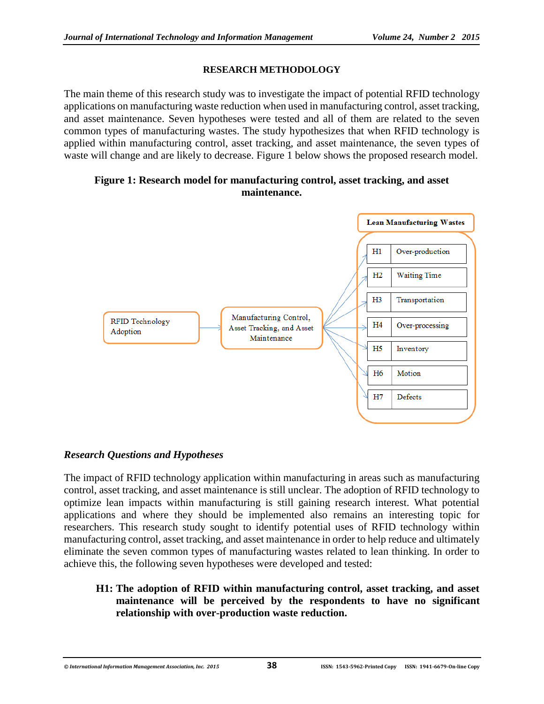#### **RESEARCH METHODOLOGY**

The main theme of this research study was to investigate the impact of potential RFID technology applications on manufacturing waste reduction when used in manufacturing control, asset tracking, and asset maintenance. Seven hypotheses were tested and all of them are related to the seven common types of manufacturing wastes. The study hypothesizes that when RFID technology is applied within manufacturing control, asset tracking, and asset maintenance, the seven types of waste will change and are likely to decrease. Figure 1 below shows the proposed research model.

#### **Figure 1: Research model for manufacturing control, asset tracking, and asset maintenance.**



#### *Research Questions and Hypotheses*

The impact of RFID technology application within manufacturing in areas such as manufacturing control, asset tracking, and asset maintenance is still unclear. The adoption of RFID technology to optimize lean impacts within manufacturing is still gaining research interest. What potential applications and where they should be implemented also remains an interesting topic for researchers. This research study sought to identify potential uses of RFID technology within manufacturing control, asset tracking, and asset maintenance in order to help reduce and ultimately eliminate the seven common types of manufacturing wastes related to lean thinking. In order to achieve this, the following seven hypotheses were developed and tested:

#### **H1: The adoption of RFID within manufacturing control, asset tracking, and asset maintenance will be perceived by the respondents to have no significant relationship with over-production waste reduction.**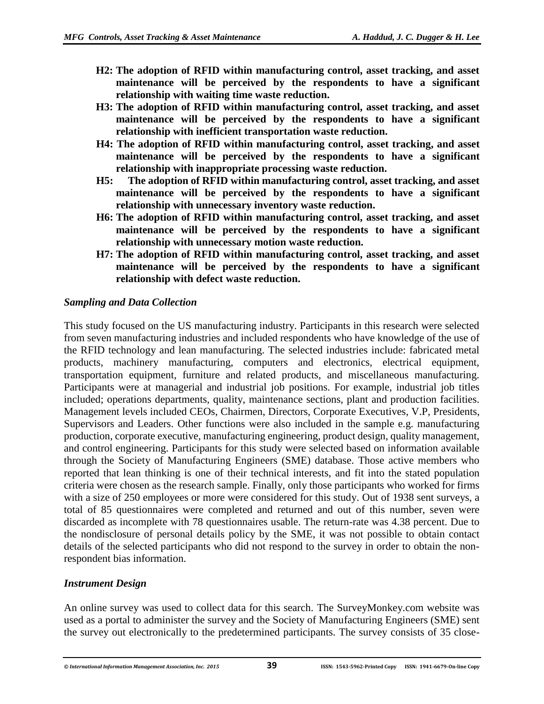- **H2: The adoption of RFID within manufacturing control, asset tracking, and asset maintenance will be perceived by the respondents to have a significant relationship with waiting time waste reduction.**
- **H3: The adoption of RFID within manufacturing control, asset tracking, and asset maintenance will be perceived by the respondents to have a significant relationship with inefficient transportation waste reduction.**
- **H4: The adoption of RFID within manufacturing control, asset tracking, and asset maintenance will be perceived by the respondents to have a significant relationship with inappropriate processing waste reduction.**
- **H5: The adoption of RFID within manufacturing control, asset tracking, and asset maintenance will be perceived by the respondents to have a significant relationship with unnecessary inventory waste reduction.**
- **H6: The adoption of RFID within manufacturing control, asset tracking, and asset maintenance will be perceived by the respondents to have a significant relationship with unnecessary motion waste reduction.**
- **H7: The adoption of RFID within manufacturing control, asset tracking, and asset maintenance will be perceived by the respondents to have a significant relationship with defect waste reduction.**

#### *Sampling and Data Collection*

This study focused on the US manufacturing industry. Participants in this research were selected from seven manufacturing industries and included respondents who have knowledge of the use of the RFID technology and lean manufacturing. The selected industries include: fabricated metal products, machinery manufacturing, computers and electronics, electrical equipment, transportation equipment, furniture and related products, and miscellaneous manufacturing. Participants were at managerial and industrial job positions. For example, industrial job titles included; operations departments, quality, maintenance sections, plant and production facilities. Management levels included CEOs, Chairmen, Directors, Corporate Executives, V.P, Presidents, Supervisors and Leaders. Other functions were also included in the sample e.g. manufacturing production, corporate executive, manufacturing engineering, product design, quality management, and control engineering. Participants for this study were selected based on information available through the Society of Manufacturing Engineers (SME) database. Those active members who reported that lean thinking is one of their technical interests, and fit into the stated population criteria were chosen as the research sample. Finally, only those participants who worked for firms with a size of 250 employees or more were considered for this study. Out of 1938 sent surveys, a total of 85 questionnaires were completed and returned and out of this number, seven were discarded as incomplete with 78 questionnaires usable. The return-rate was 4.38 percent. Due to the nondisclosure of personal details policy by the SME, it was not possible to obtain contact details of the selected participants who did not respond to the survey in order to obtain the nonrespondent bias information.

## *Instrument Design*

An online survey was used to collect data for this search. The SurveyMonkey.com website was used as a portal to administer the survey and the Society of Manufacturing Engineers (SME) sent the survey out electronically to the predetermined participants. The survey consists of 35 close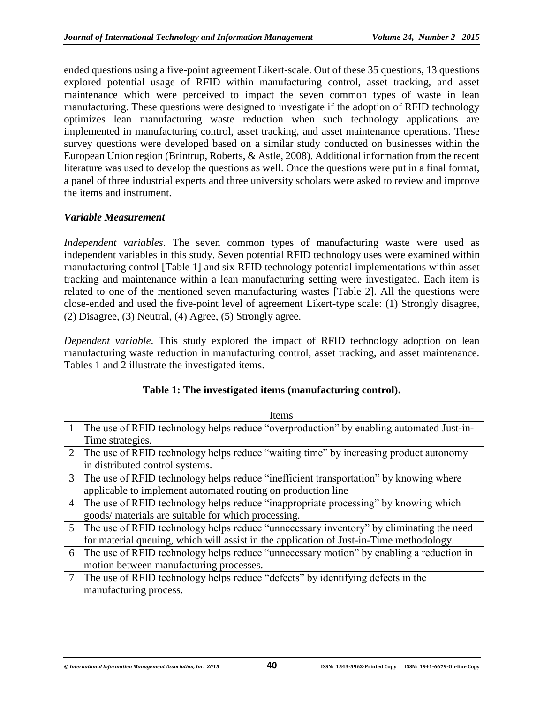ended questions using a five-point agreement Likert-scale. Out of these 35 questions, 13 questions explored potential usage of RFID within manufacturing control, asset tracking, and asset maintenance which were perceived to impact the seven common types of waste in lean manufacturing. These questions were designed to investigate if the adoption of RFID technology optimizes lean manufacturing waste reduction when such technology applications are implemented in manufacturing control, asset tracking, and asset maintenance operations. These survey questions were developed based on a similar study conducted on businesses within the European Union region (Brintrup, Roberts, & Astle, 2008). Additional information from the recent literature was used to develop the questions as well. Once the questions were put in a final format, a panel of three industrial experts and three university scholars were asked to review and improve the items and instrument.

#### *Variable Measurement*

*Independent variables*. The seven common types of manufacturing waste were used as independent variables in this study. Seven potential RFID technology uses were examined within manufacturing control [Table 1] and six RFID technology potential implementations within asset tracking and maintenance within a lean manufacturing setting were investigated. Each item is related to one of the mentioned seven manufacturing wastes [Table 2]. All the questions were close-ended and used the five-point level of agreement Likert-type scale: (1) Strongly disagree, (2) Disagree, (3) Neutral, (4) Agree, (5) Strongly agree.

*Dependent variable*. This study explored the impact of RFID technology adoption on lean manufacturing waste reduction in manufacturing control, asset tracking, and asset maintenance. Tables 1 and 2 illustrate the investigated items.

|                | Items                                                                                   |
|----------------|-----------------------------------------------------------------------------------------|
| 1              | The use of RFID technology helps reduce "overproduction" by enabling automated Just-in- |
|                | Time strategies.                                                                        |
| 2              | The use of RFID technology helps reduce "waiting time" by increasing product autonomy   |
|                | in distributed control systems.                                                         |
| 3              | The use of RFID technology helps reduce "inefficient transportation" by knowing where   |
|                | applicable to implement automated routing on production line                            |
| $\overline{4}$ | The use of RFID technology helps reduce "inappropriate processing" by knowing which     |
|                | goods/ materials are suitable for which processing.                                     |
| $5^{\circ}$    | The use of RFID technology helps reduce "unnecessary inventory" by eliminating the need |
|                | for material queuing, which will assist in the application of Just-in-Time methodology. |
| 6              | The use of RFID technology helps reduce "unnecessary motion" by enabling a reduction in |
|                | motion between manufacturing processes.                                                 |
|                | The use of RFID technology helps reduce "defects" by identifying defects in the         |
|                | manufacturing process.                                                                  |

#### **Table 1: The investigated items (manufacturing control).**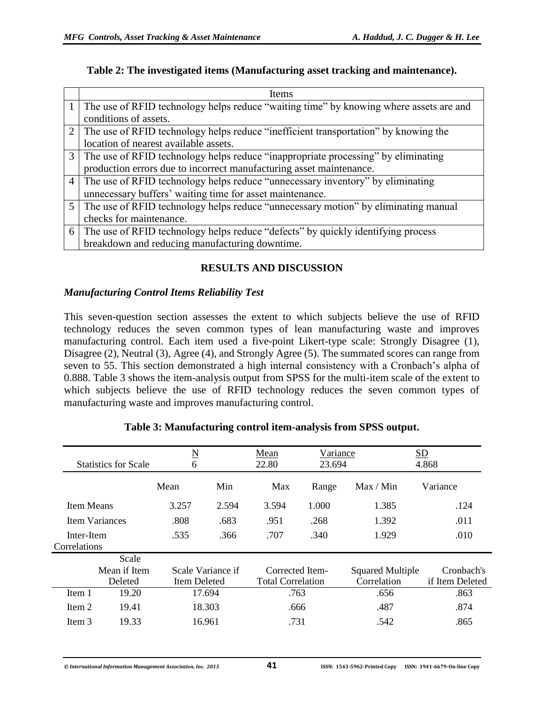#### **Table 2: The investigated items (Manufacturing asset tracking and maintenance).**

|                | <b>Items</b>                                                                           |
|----------------|----------------------------------------------------------------------------------------|
|                | The use of RFID technology helps reduce "waiting time" by knowing where assets are and |
|                | conditions of assets.                                                                  |
|                | The use of RFID technology helps reduce "inefficient transportation" by knowing the    |
|                | location of nearest available assets.                                                  |
| 3              | The use of RFID technology helps reduce "inappropriate processing" by eliminating      |
|                | production errors due to incorrect manufacturing asset maintenance.                    |
| $\overline{4}$ | The use of RFID technology helps reduce "unnecessary inventory" by eliminating         |
|                | unnecessary buffers' waiting time for asset maintenance.                               |
|                | 5 The use of RFID technology helps reduce "unnecessary motion" by eliminating manual   |
|                | checks for maintenance.                                                                |
| 6              | The use of RFID technology helps reduce "defects" by quickly identifying process       |
|                | breakdown and reducing manufacturing downtime.                                         |

## **RESULTS AND DISCUSSION**

#### *Manufacturing Control Items Reliability Test*

This seven-question section assesses the extent to which subjects believe the use of RFID technology reduces the seven common types of lean manufacturing waste and improves manufacturing control. Each item used a five-point Likert-type scale: Strongly Disagree (1), Disagree (2), Neutral (3), Agree (4), and Strongly Agree (5). The summated scores can range from seven to 55. This section demonstrated a high internal consistency with a Cronbach's alpha of 0.888. Table 3 shows the item-analysis output from SPSS for the multi-item scale of the extent to which subjects believe the use of RFID technology reduces the seven common types of manufacturing waste and improves manufacturing control.

|              | <b>Statistics for Scale</b> |        | $\underline{\rm N}$<br>6 |                 | Variance<br>23.694       |                         | SD<br>4.868     |  |
|--------------|-----------------------------|--------|--------------------------|-----------------|--------------------------|-------------------------|-----------------|--|
|              |                             | Mean   | Min                      | Max             | Range                    | Max / Min               | Variance        |  |
| Item Means   |                             | 3.257  | 2.594                    | 3.594           | 1.000                    | 1.385                   | .124            |  |
|              | Item Variances              | .808   | .683                     | .951            | .268                     | 1.392                   | .011            |  |
| Inter-Item   |                             | .535   | .366                     | .707            | .340                     | 1.929                   | .010            |  |
| Correlations |                             |        |                          |                 |                          |                         |                 |  |
|              | Scale                       |        |                          |                 |                          |                         |                 |  |
|              | Mean if Item                |        | Scale Variance if        | Corrected Item- |                          | <b>Squared Multiple</b> | Cronbach's      |  |
| Deleted      |                             |        | Item Deleted             |                 | <b>Total Correlation</b> | Correlation             | if Item Deleted |  |
| Item 1       | 19.20                       | 17.694 |                          | .763            |                          | .656                    | .863            |  |
| Item 2       | 19.41<br>18.303             |        | .666                     |                 | .487                     | .874                    |                 |  |
| Item 3       | 19.33                       |        | 16.961                   | .731            |                          | .542                    | .865            |  |

#### **Table 3: Manufacturing control item-analysis from SPSS output.**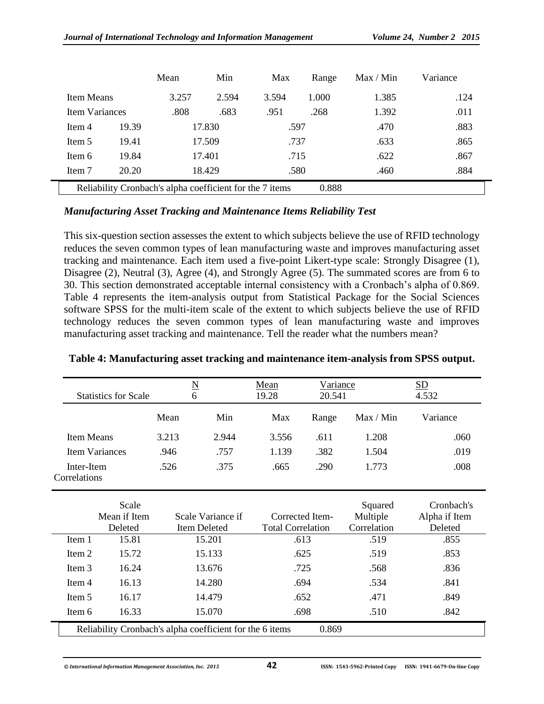|                                                                   |       | Mean  | Min    | Max   | Range | Max / Min | Variance |  |
|-------------------------------------------------------------------|-------|-------|--------|-------|-------|-----------|----------|--|
| <b>Item Means</b>                                                 |       | 3.257 | 2.594  | 3.594 | 1.000 | 1.385     | .124     |  |
| <b>Item Variances</b>                                             |       | .808  | .683   | .951  | .268  | 1.392     | .011     |  |
| Item 4                                                            | 19.39 |       | 17.830 |       | .597  | .470      | .883     |  |
| 19.41<br>Item 5                                                   |       |       | 17.509 |       | .737  |           | .865     |  |
| 19.84<br>Item 6                                                   |       |       | 17.401 |       | .715  |           | .867     |  |
| 20.20<br>Item 7                                                   |       |       | 18.429 | .580  |       | .460      | .884     |  |
| Reliability Cronbach's alpha coefficient for the 7 items<br>0.888 |       |       |        |       |       |           |          |  |

#### *Manufacturing Asset Tracking and Maintenance Items Reliability Test*

This six-question section assesses the extent to which subjects believe the use of RFID technology reduces the seven common types of lean manufacturing waste and improves manufacturing asset tracking and maintenance. Each item used a five-point Likert-type scale: Strongly Disagree (1), Disagree (2), Neutral (3), Agree (4), and Strongly Agree (5). The summated scores are from 6 to 30. This section demonstrated acceptable internal consistency with a Cronbach's alpha of 0.869. Table 4 represents the item-analysis output from Statistical Package for the Social Sciences software SPSS for the multi-item scale of the extent to which subjects believe the use of RFID technology reduces the seven common types of lean manufacturing waste and improves manufacturing asset tracking and maintenance. Tell the reader what the numbers mean?

| <b>Statistics for Scale</b>                              |                                   | $\underline{\mathbf{N}}$<br>Mean<br>19.28<br>6 |                                             | Variance<br>20.541 |                                    | SD<br>4.532                            |
|----------------------------------------------------------|-----------------------------------|------------------------------------------------|---------------------------------------------|--------------------|------------------------------------|----------------------------------------|
|                                                          | Mean                              | Min                                            | Max                                         | Range              | Max / Min                          | Variance                               |
| <b>Item Means</b>                                        | 3.213                             | 2.944                                          | 3.556                                       | .611               | 1.208                              | .060                                   |
| <b>Item Variances</b>                                    | .946                              | .757                                           | 1.139                                       | .382               | 1.504                              | .019                                   |
| Inter-Item                                               | .526                              | .375                                           | .665                                        | .290               | 1.773                              | .008                                   |
| Correlations                                             |                                   |                                                |                                             |                    |                                    |                                        |
| Scale<br>Mean if Item<br>Deleted                         | Scale Variance if<br>Item Deleted |                                                | Corrected Item-<br><b>Total Correlation</b> |                    | Squared<br>Multiple<br>Correlation | Cronbach's<br>Alpha if Item<br>Deleted |
| 15.81<br>Item 1                                          |                                   | 15.201                                         |                                             | .613               | .519                               | .855                                   |
| Item 2<br>15.72                                          |                                   | 15.133                                         |                                             | .625               | .519                               | .853                                   |
| Item 3<br>16.24                                          |                                   | 13.676                                         | .725                                        |                    | .568                               | .836                                   |
| 16.13<br>Item 4                                          |                                   | 14.280                                         |                                             | .694               |                                    | .841                                   |
| Item 5<br>16.17                                          | 14.479                            |                                                | .652                                        |                    | .471                               | .849                                   |
| Item 6<br>16.33                                          |                                   | 15.070                                         |                                             | .698               | .510                               | .842                                   |
| Reliability Cronbach's alpha coefficient for the 6 items |                                   |                                                |                                             | 0.869              |                                    |                                        |

#### **Table 4: Manufacturing asset tracking and maintenance item-analysis from SPSS output.**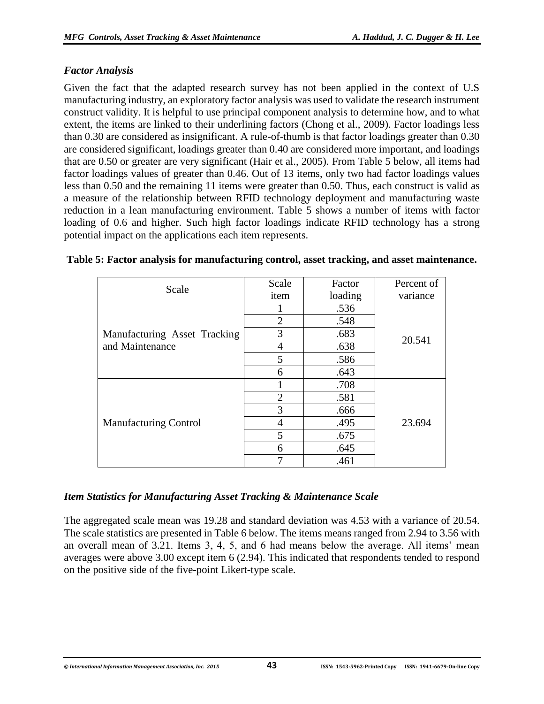#### *Factor Analysis*

Given the fact that the adapted research survey has not been applied in the context of U.S manufacturing industry, an exploratory factor analysis was used to validate the research instrument construct validity. It is helpful to use principal component analysis to determine how, and to what extent, the items are linked to their underlining factors (Chong et al., 2009). Factor loadings less than 0.30 are considered as insignificant. A rule-of-thumb is that factor loadings greater than 0.30 are considered significant, loadings greater than 0.40 are considered more important, and loadings that are 0.50 or greater are very significant (Hair et al., 2005). From Table 5 below, all items had factor loadings values of greater than 0.46. Out of 13 items, only two had factor loadings values less than 0.50 and the remaining 11 items were greater than 0.50. Thus, each construct is valid as a measure of the relationship between RFID technology deployment and manufacturing waste reduction in a lean manufacturing environment. Table 5 shows a number of items with factor loading of 0.6 and higher. Such high factor loadings indicate RFID technology has a strong potential impact on the applications each item represents.

| Scale                        | Scale          | Factor  | Percent of |
|------------------------------|----------------|---------|------------|
|                              | item           | loading | variance   |
|                              |                | .536    |            |
|                              | $\overline{2}$ | .548    |            |
| Manufacturing Asset Tracking | 3              | .683    | 20.541     |
| and Maintenance              | 4              | .638    |            |
|                              | 5              | .586    |            |
|                              | 6              | .643    |            |
|                              |                | .708    |            |
|                              | $\overline{2}$ | .581    |            |
|                              | 3              | .666    |            |
| <b>Manufacturing Control</b> | 4              | .495    | 23.694     |
|                              | 5              | .675    |            |
|                              | 6              | .645    |            |
|                              | ┑              | .461    |            |

#### **Table 5: Factor analysis for manufacturing control, asset tracking, and asset maintenance.**

#### *Item Statistics for Manufacturing Asset Tracking & Maintenance Scale*

The aggregated scale mean was 19.28 and standard deviation was 4.53 with a variance of 20.54. The scale statistics are presented in Table 6 below. The items means ranged from 2.94 to 3.56 with an overall mean of 3.21. Items 3, 4, 5, and 6 had means below the average. All items' mean averages were above 3.00 except item 6 (2.94). This indicated that respondents tended to respond on the positive side of the five-point Likert-type scale.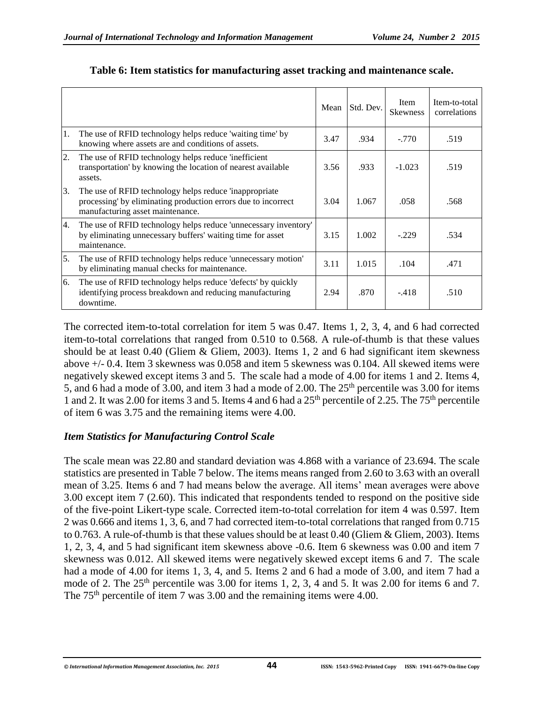|    |                                                                                                                                                             | Mean | Std. Dev. | <b>Item</b><br><b>Skewness</b> | Item-to-total<br>correlations |
|----|-------------------------------------------------------------------------------------------------------------------------------------------------------------|------|-----------|--------------------------------|-------------------------------|
| 1. | The use of RFID technology helps reduce 'waiting time' by<br>knowing where assets are and conditions of assets.                                             | 3.47 | .934      | $-.770$                        | .519                          |
| 2. | The use of RFID technology helps reduce 'inefficient<br>transportation' by knowing the location of nearest available<br>assets.                             | 3.56 | .933      | $-1.023$                       | .519                          |
| 3. | The use of RFID technology helps reduce 'inappropriate<br>processing' by eliminating production errors due to incorrect<br>manufacturing asset maintenance. | 3.04 | 1.067     | .058                           | .568                          |
| 4. | The use of RFID technology helps reduce 'unnecessary inventory'<br>by eliminating unnecessary buffers' waiting time for asset<br>maintenance.               | 3.15 | 1.002     | $-.229$                        | .534                          |
| 5. | The use of RFID technology helps reduce 'unnecessary motion'<br>by eliminating manual checks for maintenance.                                               | 3.11 | 1.015     | .104                           | .471                          |
| 6. | The use of RFID technology helps reduce 'defects' by quickly<br>identifying process breakdown and reducing manufacturing<br>downtime.                       | 2.94 | .870      | $-.418$                        | .510                          |

#### **Table 6: Item statistics for manufacturing asset tracking and maintenance scale.**

The corrected item-to-total correlation for item 5 was 0.47. Items 1, 2, 3, 4, and 6 had corrected item-to-total correlations that ranged from 0.510 to 0.568. A rule-of-thumb is that these values should be at least 0.40 (Gliem & Gliem, 2003). Items 1, 2 and 6 had significant item skewness above +/- 0.4. Item 3 skewness was 0.058 and item 5 skewness was 0.104. All skewed items were negatively skewed except items 3 and 5. The scale had a mode of 4.00 for items 1 and 2. Items 4, 5, and 6 had a mode of 3.00, and item 3 had a mode of 2.00. The  $25<sup>th</sup>$  percentile was 3.00 for items 1 and 2. It was 2.00 for items 3 and 5. Items 4 and 6 had a 25<sup>th</sup> percentile of 2.25. The 75<sup>th</sup> percentile of item 6 was 3.75 and the remaining items were 4.00.

#### *Item Statistics for Manufacturing Control Scale*

The scale mean was 22.80 and standard deviation was 4.868 with a variance of 23.694. The scale statistics are presented in Table 7 below. The items means ranged from 2.60 to 3.63 with an overall mean of 3.25. Items 6 and 7 had means below the average. All items' mean averages were above 3.00 except item 7 (2.60). This indicated that respondents tended to respond on the positive side of the five-point Likert-type scale. Corrected item-to-total correlation for item 4 was 0.597. Item 2 was 0.666 and items 1, 3, 6, and 7 had corrected item-to-total correlations that ranged from 0.715 to 0.763. A rule-of-thumb is that these values should be at least 0.40 (Gliem & Gliem, 2003). Items 1, 2, 3, 4, and 5 had significant item skewness above -0.6. Item 6 skewness was 0.00 and item 7 skewness was 0.012. All skewed items were negatively skewed except items 6 and 7. The scale had a mode of 4.00 for items 1, 3, 4, and 5. Items 2 and 6 had a mode of 3.00, and item 7 had a mode of 2. The  $25<sup>th</sup>$  percentile was 3.00 for items 1, 2, 3, 4 and 5. It was 2.00 for items 6 and 7. The 75<sup>th</sup> percentile of item 7 was 3.00 and the remaining items were 4.00.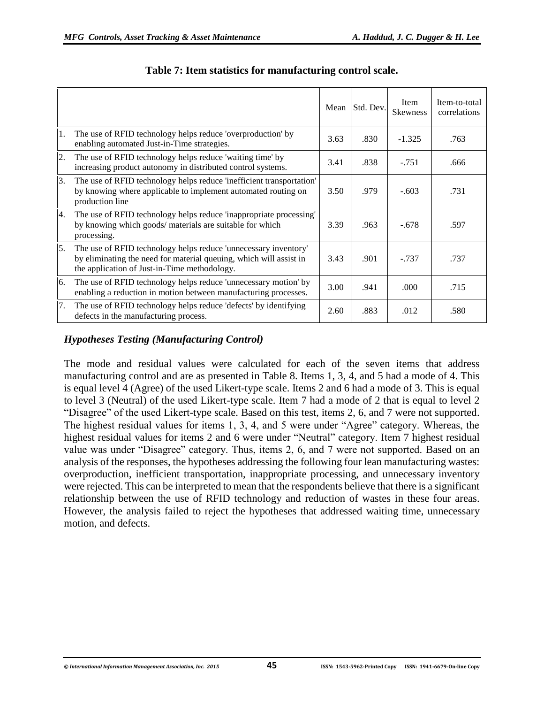|    |                                                                                                                                                                                       | Mean | Std. Dev. | Item<br><b>Skewness</b> | Item-to-total<br>correlations |
|----|---------------------------------------------------------------------------------------------------------------------------------------------------------------------------------------|------|-----------|-------------------------|-------------------------------|
| 1. | The use of RFID technology helps reduce 'overproduction' by<br>enabling automated Just-in-Time strategies.                                                                            | 3.63 | .830      | $-1.325$                | .763                          |
| 2. | The use of RFID technology helps reduce 'waiting time' by<br>increasing product autonomy in distributed control systems.                                                              | 3.41 | .838      | $-.751$                 | .666                          |
| 3. | The use of RFID technology helps reduce 'inefficient transportation'<br>by knowing where applicable to implement automated routing on<br>production line                              | 3.50 | .979      | $-.603$                 | .731                          |
| 4. | The use of RFID technology helps reduce 'inappropriate processing'<br>by knowing which goods/ materials are suitable for which<br>processing.                                         | 3.39 | .963      | $-.678$                 | .597                          |
| 5. | The use of RFID technology helps reduce 'unnecessary inventory'<br>by eliminating the need for material queuing, which will assist in<br>the application of Just-in-Time methodology. | 3.43 | .901      | $-.737$                 | .737                          |
| 6. | The use of RFID technology helps reduce 'unnecessary motion' by<br>enabling a reduction in motion between manufacturing processes.                                                    | 3.00 | .941      | .000                    | .715                          |
| 7. | The use of RFID technology helps reduce 'defects' by identifying<br>defects in the manufacturing process.                                                                             | 2.60 | .883      | .012                    | .580                          |

#### **Table 7: Item statistics for manufacturing control scale.**

## *Hypotheses Testing (Manufacturing Control)*

The mode and residual values were calculated for each of the seven items that address manufacturing control and are as presented in Table 8. Items 1, 3, 4, and 5 had a mode of 4. This is equal level 4 (Agree) of the used Likert-type scale. Items 2 and 6 had a mode of 3. This is equal to level 3 (Neutral) of the used Likert-type scale. Item 7 had a mode of 2 that is equal to level 2 "Disagree" of the used Likert-type scale. Based on this test, items 2, 6, and 7 were not supported. The highest residual values for items 1, 3, 4, and 5 were under "Agree" category. Whereas, the highest residual values for items 2 and 6 were under "Neutral" category. Item 7 highest residual value was under "Disagree" category. Thus, items 2, 6, and 7 were not supported. Based on an analysis of the responses, the hypotheses addressing the following four lean manufacturing wastes: overproduction, inefficient transportation, inappropriate processing, and unnecessary inventory were rejected. This can be interpreted to mean that the respondents believe that there is a significant relationship between the use of RFID technology and reduction of wastes in these four areas. However, the analysis failed to reject the hypotheses that addressed waiting time, unnecessary motion, and defects.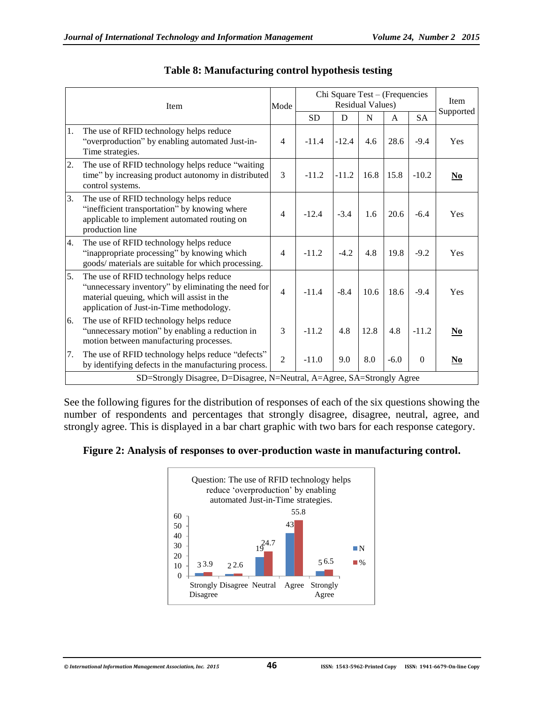|    | Item                                                                                                                                                                                     | Mode           | Chi Square Test - (Frequencies<br><b>Residual Values)</b> |         |      |        |              | Item<br>Supported                  |  |
|----|------------------------------------------------------------------------------------------------------------------------------------------------------------------------------------------|----------------|-----------------------------------------------------------|---------|------|--------|--------------|------------------------------------|--|
|    |                                                                                                                                                                                          |                | <b>SD</b>                                                 | D       | N    | A      | <b>SA</b>    |                                    |  |
| 1. | The use of RFID technology helps reduce<br>"overproduction" by enabling automated Just-in-<br>Time strategies.                                                                           | $\overline{4}$ | $-11.4$                                                   | $-12.4$ | 4.6  | 28.6   | $-9.4$       | Yes                                |  |
| 2. | The use of RFID technology helps reduce "waiting"<br>time" by increasing product autonomy in distributed<br>control systems.                                                             | 3              | $-11.2$                                                   | $-11.2$ | 16.8 | 15.8   | $-10.2$      | $No$                               |  |
| 3. | The use of RFID technology helps reduce<br>"inefficient transportation" by knowing where<br>applicable to implement automated routing on<br>production line                              | 4              | $-12.4$                                                   | $-3.4$  | 1.6  | 20.6   | $-6.4$       | <b>Yes</b>                         |  |
| 4. | The use of RFID technology helps reduce<br>"inappropriate processing" by knowing which<br>goods/ materials are suitable for which processing.                                            | $\overline{4}$ | $-11.2$                                                   | $-4.2$  | 4.8  | 19.8   | $-9.2$       | <b>Yes</b>                         |  |
| 5. | The use of RFID technology helps reduce<br>"unnecessary inventory" by eliminating the need for<br>material queuing, which will assist in the<br>application of Just-in-Time methodology. | $\overline{4}$ | $-11.4$                                                   | $-8.4$  | 10.6 | 18.6   | $-9.4$       | Yes                                |  |
| 6. | The use of RFID technology helps reduce<br>"unnecessary motion" by enabling a reduction in<br>motion between manufacturing processes.                                                    | 3              | $-11.2$                                                   | 4.8     | 12.8 | 4.8    | $-11.2$      | $\underline{\mathbf{N}\mathbf{o}}$ |  |
| 7. | The use of RFID technology helps reduce "defects"<br>by identifying defects in the manufacturing process.                                                                                | $\mathfrak{D}$ | $-11.0$                                                   | 9.0     | 8.0  | $-6.0$ | $\mathbf{0}$ | $No$                               |  |
|    | SD=Strongly Disagree, D=Disagree, N=Neutral, A=Agree, SA=Strongly Agree                                                                                                                  |                |                                                           |         |      |        |              |                                    |  |

## **Table 8: Manufacturing control hypothesis testing**

See the following figures for the distribution of responses of each of the six questions showing the number of respondents and percentages that strongly disagree, disagree, neutral, agree, and strongly agree. This is displayed in a bar chart graphic with two bars for each response category.

**Figure 2: Analysis of responses to over-production waste in manufacturing control.**

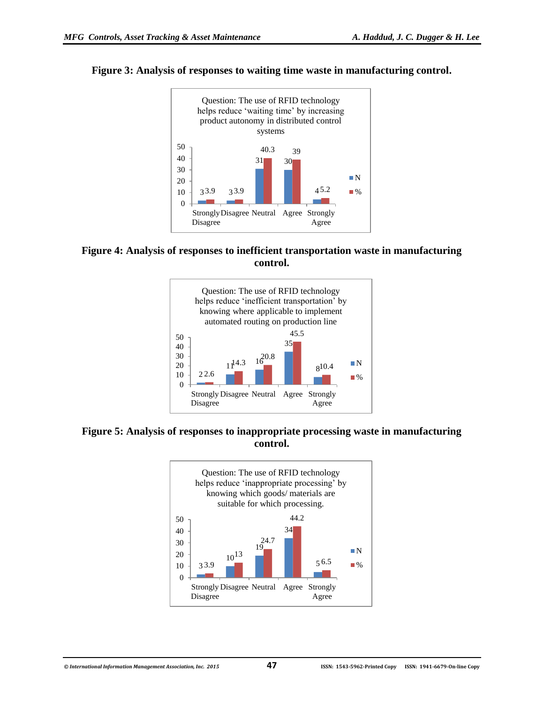

#### **Figure 3: Analysis of responses to waiting time waste in manufacturing control.**

**Figure 4: Analysis of responses to inefficient transportation waste in manufacturing control.**



**Figure 5: Analysis of responses to inappropriate processing waste in manufacturing control.**

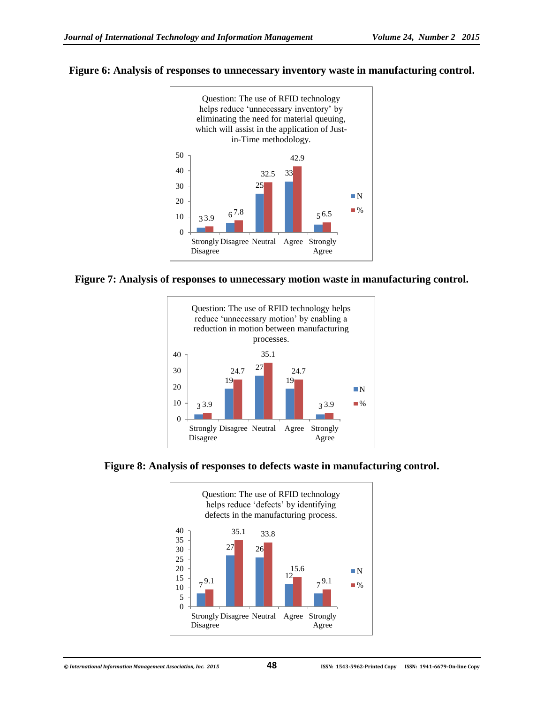#### **Figure 6: Analysis of responses to unnecessary inventory waste in manufacturing control.**



#### **Figure 7: Analysis of responses to unnecessary motion waste in manufacturing control.**



#### **Figure 8: Analysis of responses to defects waste in manufacturing control.**

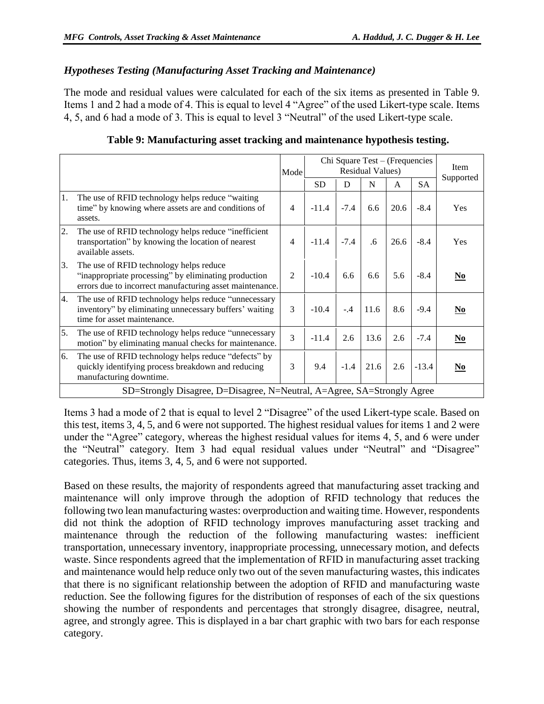#### *Hypotheses Testing (Manufacturing Asset Tracking and Maintenance)*

The mode and residual values were calculated for each of the six items as presented in Table 9. Items 1 and 2 had a mode of 4. This is equal to level 4 "Agree" of the used Likert-type scale. Items 4, 5, and 6 had a mode of 3. This is equal to level 3 "Neutral" of the used Likert-type scale.

|    |                                                                                                                                                             | Mode           | Chi Square Test - (Frequencies<br><b>Residual Values)</b> |        |      |      |           |                          |
|----|-------------------------------------------------------------------------------------------------------------------------------------------------------------|----------------|-----------------------------------------------------------|--------|------|------|-----------|--------------------------|
|    |                                                                                                                                                             |                | <b>SD</b>                                                 | D      | N    | A    | <b>SA</b> | Supported                |
| 1. | The use of RFID technology helps reduce "waiting"<br>time" by knowing where assets are and conditions of<br>assets.                                         | 4              | $-11.4$                                                   | $-7.4$ | 6.6  | 20.6 | $-8.4$    | Yes                      |
| 2. | The use of RFID technology helps reduce "inefficient"<br>transportation" by knowing the location of nearest<br>available assets.                            | 4              | $-11.4$                                                   | $-7.4$ | .6   | 26.6 | $-8.4$    | <b>Yes</b>               |
| 3. | The use of RFID technology helps reduce<br>"inappropriate processing" by eliminating production<br>errors due to incorrect manufacturing asset maintenance. | $\mathfrak{D}$ | $-10.4$                                                   | 6.6    | 6.6  | 5.6  | $-8.4$    | N <sub>0</sub>           |
| 4. | The use of RFID technology helps reduce "unnecessary<br>inventory" by eliminating unnecessary buffers' waiting<br>time for asset maintenance.               | 3              | $-10.4$                                                   | $-4$   | 11.6 | 8.6  | $-9.4$    | N <sub>0</sub>           |
| 5. | The use of RFID technology helps reduce "unnecessary<br>motion" by eliminating manual checks for maintenance.                                               | 3              | $-11.4$                                                   | 2.6    | 13.6 | 2.6  | $-7.4$    | $\underline{\mathbf{N}}$ |
| 6. | The use of RFID technology helps reduce "defects" by<br>quickly identifying process breakdown and reducing<br>manufacturing downtime.                       | 3              | 9.4                                                       | $-1.4$ | 21.6 | 2.6  | $-13.4$   | N <sub>0</sub>           |
|    | SD=Strongly Disagree, D=Disagree, N=Neutral, A=Agree, SA=Strongly Agree                                                                                     |                |                                                           |        |      |      |           |                          |

#### **Table 9: Manufacturing asset tracking and maintenance hypothesis testing.**

Items 3 had a mode of 2 that is equal to level 2 "Disagree" of the used Likert-type scale. Based on this test, items 3, 4, 5, and 6 were not supported. The highest residual values for items 1 and 2 were under the "Agree" category, whereas the highest residual values for items 4, 5, and 6 were under the "Neutral" category. Item 3 had equal residual values under "Neutral" and "Disagree" categories. Thus, items 3, 4, 5, and 6 were not supported.

Based on these results, the majority of respondents agreed that manufacturing asset tracking and maintenance will only improve through the adoption of RFID technology that reduces the following two lean manufacturing wastes: overproduction and waiting time. However, respondents did not think the adoption of RFID technology improves manufacturing asset tracking and maintenance through the reduction of the following manufacturing wastes: inefficient transportation, unnecessary inventory, inappropriate processing, unnecessary motion, and defects waste. Since respondents agreed that the implementation of RFID in manufacturing asset tracking and maintenance would help reduce only two out of the seven manufacturing wastes, this indicates that there is no significant relationship between the adoption of RFID and manufacturing waste reduction. See the following figures for the distribution of responses of each of the six questions showing the number of respondents and percentages that strongly disagree, disagree, neutral, agree, and strongly agree. This is displayed in a bar chart graphic with two bars for each response category.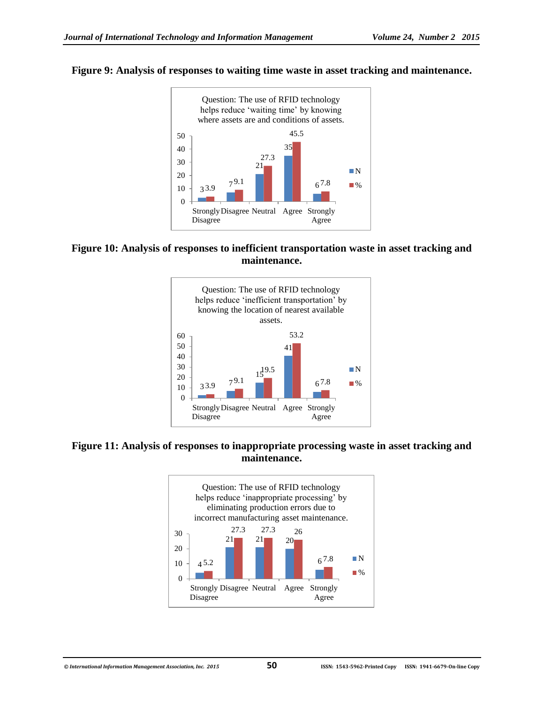



**Figure 10: Analysis of responses to inefficient transportation waste in asset tracking and maintenance.**



**Figure 11: Analysis of responses to inappropriate processing waste in asset tracking and maintenance.**

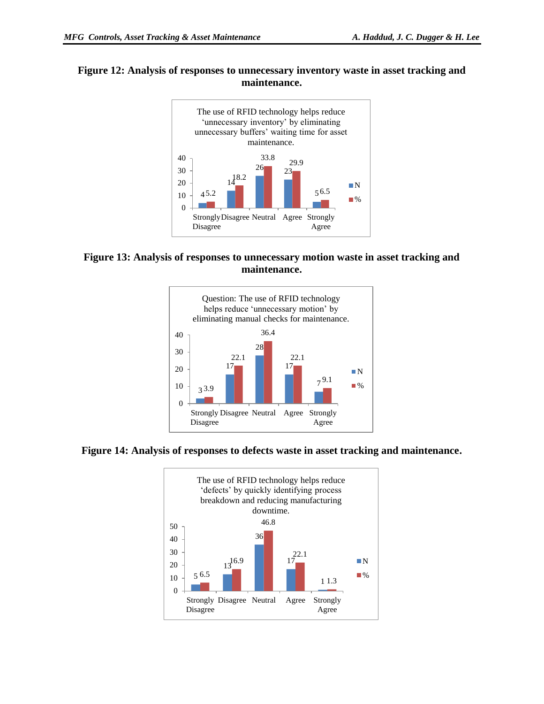#### **Figure 12: Analysis of responses to unnecessary inventory waste in asset tracking and maintenance.**



#### **Figure 13: Analysis of responses to unnecessary motion waste in asset tracking and maintenance.**



#### **Figure 14: Analysis of responses to defects waste in asset tracking and maintenance.**

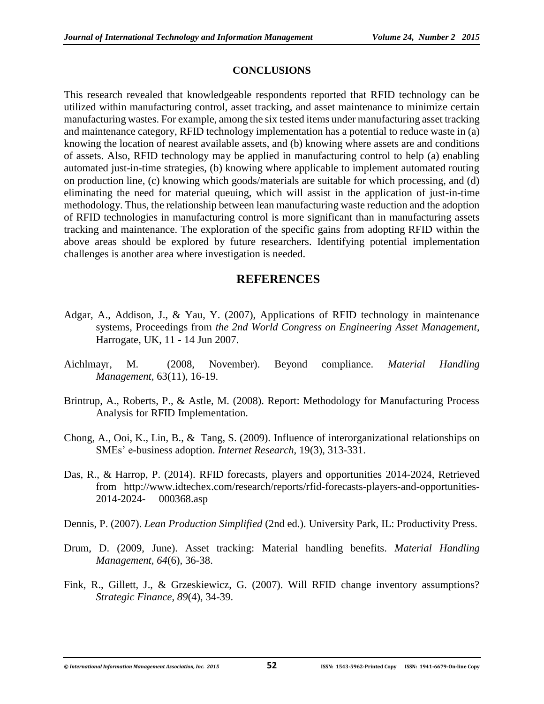## **CONCLUSIONS**

This research revealed that knowledgeable respondents reported that RFID technology can be utilized within manufacturing control, asset tracking, and asset maintenance to minimize certain manufacturing wastes. For example, among the six tested items under manufacturing asset tracking and maintenance category, RFID technology implementation has a potential to reduce waste in (a) knowing the location of nearest available assets, and (b) knowing where assets are and conditions of assets. Also, RFID technology may be applied in manufacturing control to help (a) enabling automated just-in-time strategies, (b) knowing where applicable to implement automated routing on production line, (c) knowing which goods/materials are suitable for which processing, and (d) eliminating the need for material queuing, which will assist in the application of just-in-time methodology. Thus, the relationship between lean manufacturing waste reduction and the adoption of RFID technologies in manufacturing control is more significant than in manufacturing assets tracking and maintenance. The exploration of the specific gains from adopting RFID within the above areas should be explored by future researchers. Identifying potential implementation challenges is another area where investigation is needed.

## **REFERENCES**

- Adgar, A., Addison, J., & Yau, Y. (2007), Applications of RFID technology in maintenance systems, Proceedings from *the 2nd World Congress on Engineering Asset Management*, Harrogate, UK, 11 - 14 Jun 2007.
- Aichlmayr, M. (2008, November). Beyond compliance. *Material Handling Management,* 63(11), 16-19.
- Brintrup, A., Roberts, P., & Astle, M. (2008). Report: Methodology for Manufacturing Process Analysis for RFID Implementation.
- Chong, A., Ooi, K., Lin, B., & Tang, S. (2009). Influence of interorganizational relationships on SMEs' e-business adoption. *Internet Research*, 19(3), 313-331.
- Das, R., & Harrop, P. (2014). RFID forecasts, players and opportunities 2014-2024, Retrieved from http://www.idtechex.com/research/reports/rfid-forecasts-players-and-opportunities-2014-2024- 000368.asp
- Dennis, P. (2007). *Lean Production Simplified* (2nd ed.). University Park, IL: Productivity Press.
- Drum, D. (2009, June). Asset tracking: Material handling benefits. *Material Handling Management, 64*(6), 36-38.
- Fink, R., Gillett, J., & Grzeskiewicz, G. (2007). Will RFID change inventory assumptions? *Strategic Finance*, *89*(4), 34-39.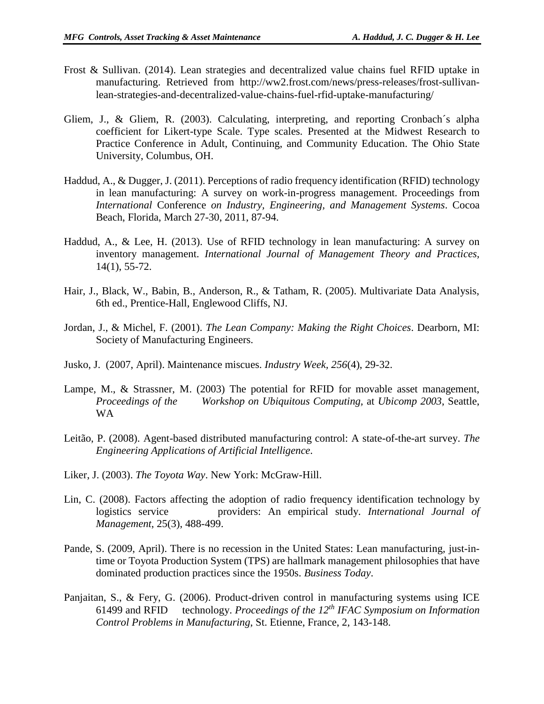- Frost & Sullivan. (2014). Lean strategies and decentralized value chains fuel RFID uptake in manufacturing. Retrieved from http://ww2.frost.com/news/press-releases/frost-sullivanlean-strategies-and-decentralized-value-chains-fuel-rfid-uptake-manufacturing/
- Gliem, J., & Gliem, R. (2003). Calculating, interpreting, and reporting Cronbach´s alpha coefficient for Likert-type Scale. Type scales. Presented at the Midwest Research to Practice Conference in Adult, Continuing, and Community Education. The Ohio State University, Columbus, OH.
- Haddud, A., & Dugger, J. (2011). Perceptions of radio frequency identification (RFID) technology in lean manufacturing: A survey on work-in-progress management. Proceedings from *International* Conference *on Industry, Engineering, and Management Systems*. Cocoa Beach, Florida, March 27-30, 2011, 87-94.
- Haddud, A., & Lee, H. (2013). Use of RFID technology in lean manufacturing: A survey on inventory management. *International Journal of Management Theory and Practices,*  14(1), 55-72.
- Hair, J., Black, W., Babin, B., Anderson, R., & Tatham, R. (2005). Multivariate Data Analysis, 6th ed., Prentice-Hall, Englewood Cliffs, NJ.
- Jordan, J., & Michel, F. (2001). *The Lean Company: Making the Right Choices*. Dearborn, MI: Society of Manufacturing Engineers.
- Jusko, J. (2007, April). Maintenance miscues. *Industry Week, 256*(4), 29-32.
- Lampe, M., & Strassner, M. (2003) The potential for RFID for movable asset management, *Proceedings of the Workshop on Ubiquitous Computing,* at *Ubicomp 2003*, Seattle, WA
- Leitão, P. (2008). Agent-based distributed manufacturing control: A state-of-the-art survey. *The Engineering Applications of Artificial Intelligence*.
- Liker, J. (2003). *The Toyota Way*. New York: McGraw-Hill.
- Lin, C. (2008). Factors affecting the adoption of radio frequency identification technology by logistics service providers: An empirical study. *International Journal of Management*, 25(3), 488-499.
- Pande, S. (2009, April). There is no recession in the United States: Lean manufacturing, just-intime or Toyota Production System (TPS) are hallmark management philosophies that have dominated production practices since the 1950s. *Business Today*.
- Panjaitan, S., & Fery, G. (2006). Product-driven control in manufacturing systems using ICE 61499 and RFID technology. *Proceedings of the 12th IFAC Symposium on Information Control Problems in Manufacturing*, St. Etienne, France, 2, 143-148.